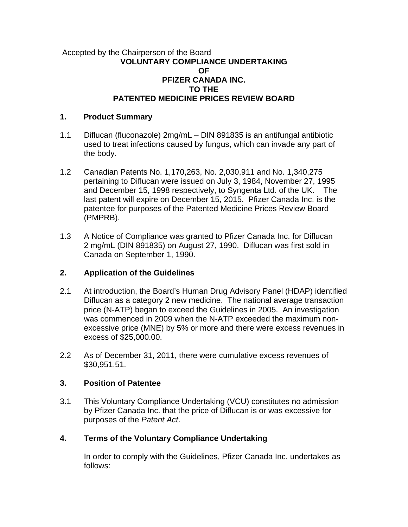#### Accepted by the Chairperson of the Board **VOLUNTARY COMPLIANCE UNDERTAKING OF PFIZER CANADA INC. TO THE PATENTED MEDICINE PRICES REVIEW BOARD**

#### **1. Product Summary**

- 1.1 Diflucan (fluconazole) 2mg/mL DIN 891835 is an antifungal antibiotic used to treat infections caused by fungus, which can invade any part of the body.
- 1.2 Canadian Patents No. 1,170,263, No. 2,030,911 and No. 1,340,275 pertaining to Diflucan were issued on July 3, 1984, November 27, 1995 and December 15, 1998 respectively, to Syngenta Ltd. of the UK. The last patent will expire on December 15, 2015. Pfizer Canada Inc. is the patentee for purposes of the Patented Medicine Prices Review Board (PMPRB).
- 1.3 A Notice of Compliance was granted to Pfizer Canada Inc. for Diflucan 2 mg/mL (DIN 891835) on August 27, 1990. Diflucan was first sold in Canada on September 1, 1990.

## **2. Application of the Guidelines**

- 2.1 At introduction, the Board's Human Drug Advisory Panel (HDAP) identified Diflucan as a category 2 new medicine. The national average transaction price (N-ATP) began to exceed the Guidelines in 2005. An investigation was commenced in 2009 when the N-ATP exceeded the maximum nonexcessive price (MNE) by 5% or more and there were excess revenues in excess of \$25,000.00.
- 2.2 As of December 31, 2011, there were cumulative excess revenues of \$30,951.51.

## **3. Position of Patentee**

3.1 This Voluntary Compliance Undertaking (VCU) constitutes no admission by Pfizer Canada Inc. that the price of Diflucan is or was excessive for purposes of the *Patent Act*.

# **4. Terms of the Voluntary Compliance Undertaking**

In order to comply with the Guidelines, Pfizer Canada Inc. undertakes as follows: